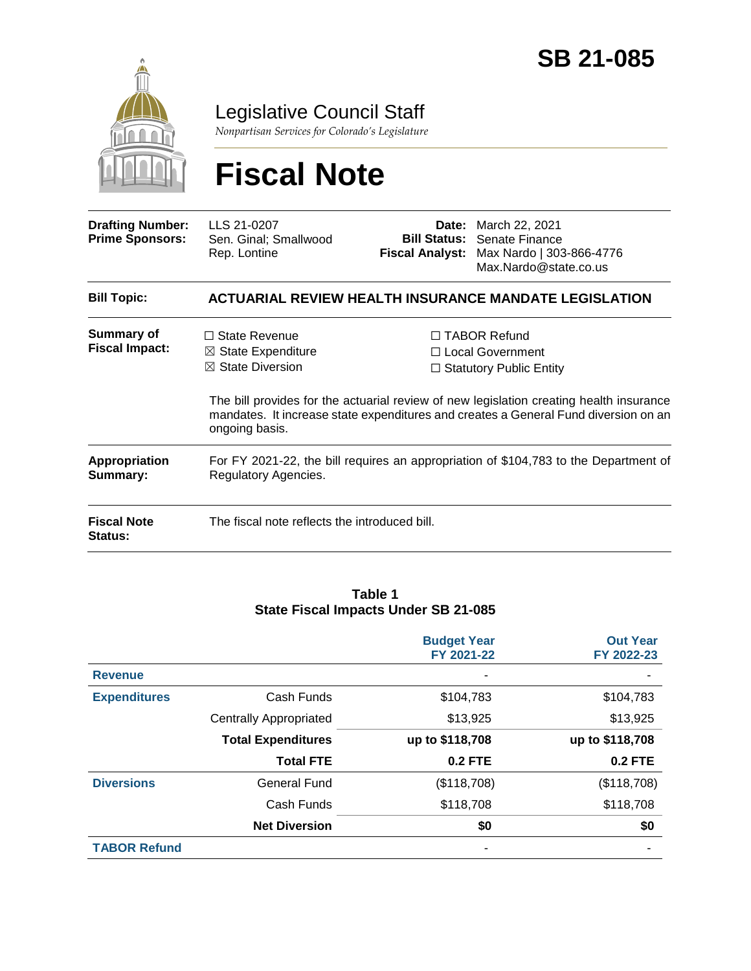

Legislative Council Staff

*Nonpartisan Services for Colorado's Legislature*

# **Fiscal Note**

| <b>Drafting Number:</b><br><b>Prime Sponsors:</b> | LLS 21-0207<br>Sen. Ginal; Smallwood<br>Rep. Lontine                                                         | <b>Fiscal Analyst:</b> | <b>Date:</b> March 22, 2021<br><b>Bill Status:</b> Senate Finance<br>Max Nardo   303-866-4776<br>Max.Nardo@state.co.us                                                                                                                                             |  |
|---------------------------------------------------|--------------------------------------------------------------------------------------------------------------|------------------------|--------------------------------------------------------------------------------------------------------------------------------------------------------------------------------------------------------------------------------------------------------------------|--|
| <b>Bill Topic:</b>                                |                                                                                                              |                        | <b>ACTUARIAL REVIEW HEALTH INSURANCE MANDATE LEGISLATION</b>                                                                                                                                                                                                       |  |
| <b>Summary of</b><br><b>Fiscal Impact:</b>        | $\Box$ State Revenue<br>⊠ State Expenditure<br>$\boxtimes$ State Diversion<br>ongoing basis.                 |                        | $\Box$ TABOR Refund<br>$\Box$ Local Government<br>$\Box$ Statutory Public Entity<br>The bill provides for the actuarial review of new legislation creating health insurance<br>mandates. It increase state expenditures and creates a General Fund diversion on an |  |
| <b>Appropriation</b><br>Summary:                  | For FY 2021-22, the bill requires an appropriation of \$104,783 to the Department of<br>Regulatory Agencies. |                        |                                                                                                                                                                                                                                                                    |  |
| <b>Fiscal Note</b><br>Status:                     | The fiscal note reflects the introduced bill.                                                                |                        |                                                                                                                                                                                                                                                                    |  |

#### **Table 1 State Fiscal Impacts Under SB 21-085**

|                     |                               | <b>Budget Year</b><br>FY 2021-22 | <b>Out Year</b><br>FY 2022-23 |
|---------------------|-------------------------------|----------------------------------|-------------------------------|
| <b>Revenue</b>      |                               |                                  |                               |
| <b>Expenditures</b> | Cash Funds                    | \$104,783                        | \$104,783                     |
|                     | <b>Centrally Appropriated</b> | \$13,925                         | \$13,925                      |
|                     | <b>Total Expenditures</b>     | up to \$118,708                  | up to \$118,708               |
|                     | <b>Total FTE</b>              | <b>0.2 FTE</b>                   | <b>0.2 FTE</b>                |
| <b>Diversions</b>   | <b>General Fund</b>           | (\$118,708)                      | (\$118,708)                   |
|                     | Cash Funds                    | \$118,708                        | \$118,708                     |
|                     | <b>Net Diversion</b>          | \$0                              | \$0                           |
| <b>TABOR Refund</b> |                               |                                  |                               |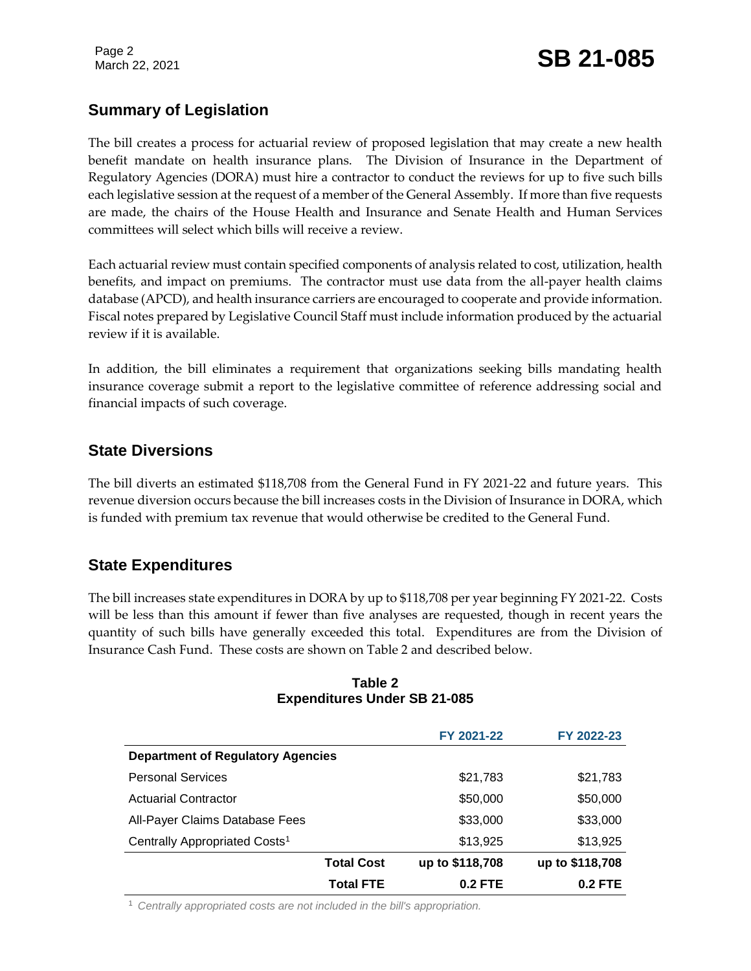### **Summary of Legislation**

The bill creates a process for actuarial review of proposed legislation that may create a new health benefit mandate on health insurance plans. The Division of Insurance in the Department of Regulatory Agencies (DORA) must hire a contractor to conduct the reviews for up to five such bills each legislative session at the request of a member of the General Assembly. If more than five requests are made, the chairs of the House Health and Insurance and Senate Health and Human Services committees will select which bills will receive a review.

Each actuarial review must contain specified components of analysis related to cost, utilization, health benefits, and impact on premiums. The contractor must use data from the all-payer health claims database (APCD), and health insurance carriers are encouraged to cooperate and provide information. Fiscal notes prepared by Legislative Council Staff must include information produced by the actuarial review if it is available.

In addition, the bill eliminates a requirement that organizations seeking bills mandating health insurance coverage submit a report to the legislative committee of reference addressing social and financial impacts of such coverage.

#### **State Diversions**

The bill diverts an estimated \$118,708 from the General Fund in FY 2021-22 and future years. This revenue diversion occurs because the bill increases costs in the Division of Insurance in DORA, which is funded with premium tax revenue that would otherwise be credited to the General Fund.

#### **State Expenditures**

The bill increases state expenditures in DORA by up to \$118,708 per year beginning FY 2021-22. Costs will be less than this amount if fewer than five analyses are requested, though in recent years the quantity of such bills have generally exceeded this total. Expenditures are from the Division of Insurance Cash Fund. These costs are shown on Table 2 and described below.

| Table 2                             |  |  |  |  |  |
|-------------------------------------|--|--|--|--|--|
| <b>Expenditures Under SB 21-085</b> |  |  |  |  |  |

|                                           | FY 2021-22      | FY 2022-23      |
|-------------------------------------------|-----------------|-----------------|
| <b>Department of Regulatory Agencies</b>  |                 |                 |
| <b>Personal Services</b>                  | \$21,783        | \$21,783        |
| <b>Actuarial Contractor</b>               | \$50,000        | \$50,000        |
| All-Payer Claims Database Fees            | \$33,000        | \$33,000        |
| Centrally Appropriated Costs <sup>1</sup> | \$13,925        | \$13,925        |
| <b>Total Cost</b>                         | up to \$118,708 | up to \$118,708 |
| <b>Total FTE</b>                          | $0.2$ FTE       | $0.2$ FTE       |

<sup>1</sup> *Centrally appropriated costs are not included in the bill's appropriation.*